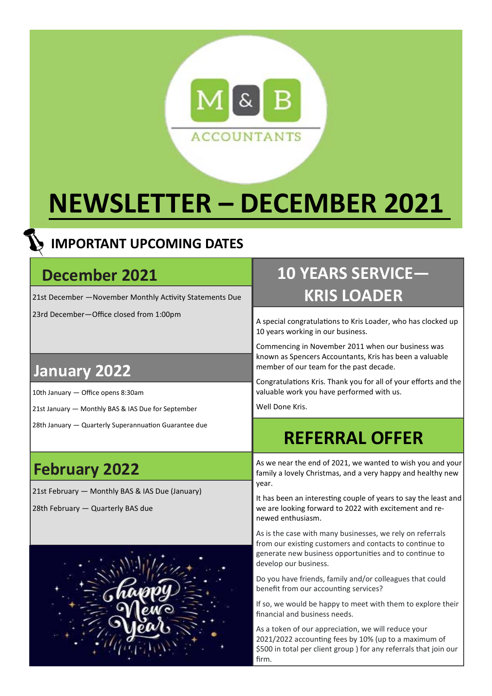

# **NEWSLETTER – DECEMBER 2021**

#### **IMPORTANT UPCOMING DATES**

#### **December 2021**

21st December - November Monthly Activity Statements Due

23rd December—Office closed from 1:00pm

### **10 YEARS SERVICE— KRIS LOADER**

A special congratulations to Kris Loader, who has clocked up 10 years working in our business.

Commencing in November 2011 when our business was known as Spencers Accountants, Kris has been a valuable member of our team for the past decade.

Congratulations Kris. Thank you for all of your efforts and the valuable work you have performed with us.

Well Done Kris.

## **REFERRAL OFFER**

As we near the end of 2021, we wanted to wish you and your family a lovely Christmas, and a very happy and healthy new year.

It has been an interesting couple of years to say the least and we are looking forward to 2022 with excitement and renewed enthusiasm.

As is the case with many businesses, we rely on referrals from our existing customers and contacts to continue to generate new business opportunities and to continue to develop our business.

Do you have friends, family and/or colleagues that could benefit from our accounting services?

If so, we would be happy to meet with them to explore their financial and business needs.

As a token of our appreciation, we will reduce your 2021/2022 accounting fees by 10% (up to a maximum of \$500 in total per client group ) for any referrals that join our firm.

#### **January 2022**

10th January — Office opens 8:30am

- 21st January Monthly BAS & IAS Due for September
- 28th January Quarterly Superannuation Guarantee due

### **February 2022**

21st February — Monthly BAS & IAS Due (January)

28th February — Quarterly BAS due

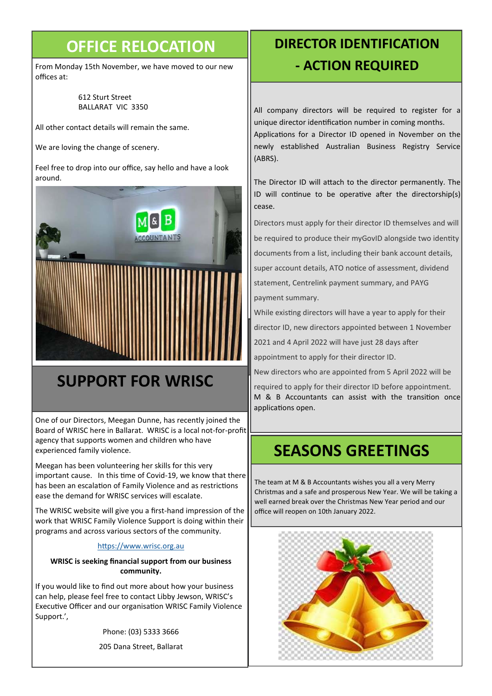#### **OFFICE RELOCATION**

From Monday 15th November, we have moved to our new offices at:

#### 612 Sturt Street BALLARAT VIC 3350

All other contact details will remain the same.

We are loving the change of scenery.

Feel free to drop into our office, say hello and have a look around.



### **SUPPORT FOR WRISC**

One of our Directors, Meegan Dunne, has recently joined the Board of WRISC here in Ballarat. WRISC is a local not-for-profit agency that supports women and children who have experienced family violence.

Meegan has been volunteering her skills for this very important cause. In this time of Covid-19, we know that there has been an escalation of Family Violence and as restrictions ease the demand for WRISC services will escalate.

The WRISC website will give you a first-hand impression of the work that WRISC Family Violence Support is doing within their programs and across various sectors of the community.

#### https://www.wrisc.org.au

#### **WRISC is seeking financial support from our business community.**

If you would like to find out more about how your business can help, please feel free to contact Libby Jewson, WRISC's Executive Officer and our organisation WRISC Family Violence Support.',

Phone: (03) 5333 3666

205 Dana Street, Ballarat

#### **DIRECTOR IDENTIFICATION - ACTION REQUIRED**

All company directors will be required to register for a unique director identification number in coming months. Applications for a Director ID opened in November on the newly established Australian Business Registry Service (ABRS).

The Director ID will attach to the director permanently. The ID will continue to be operative after the directorship(s) cease.

Directors must apply for their director ID themselves and will be required to produce their myGovID alongside two identity documents from a list, including their bank account details, super account details, ATO notice of assessment, dividend statement, Centrelink payment summary, and PAYG payment summary.

While existing directors will have a year to apply for their

director ID, new directors appointed between 1 November

2021 and 4 April 2022 will have just 28 days after

appointment to apply for their director ID.

New directors who are appointed from 5 April 2022 will be

required to apply for their director ID before appointment. M & B Accountants can assist with the transition once applications open.

#### **SEASONS GREETINGS**

The team at M & B Accountants wishes you all a very Merry Christmas and a safe and prosperous New Year. We will be taking a well earned break over the Christmas New Year period and our office will reopen on 10th January 2022.